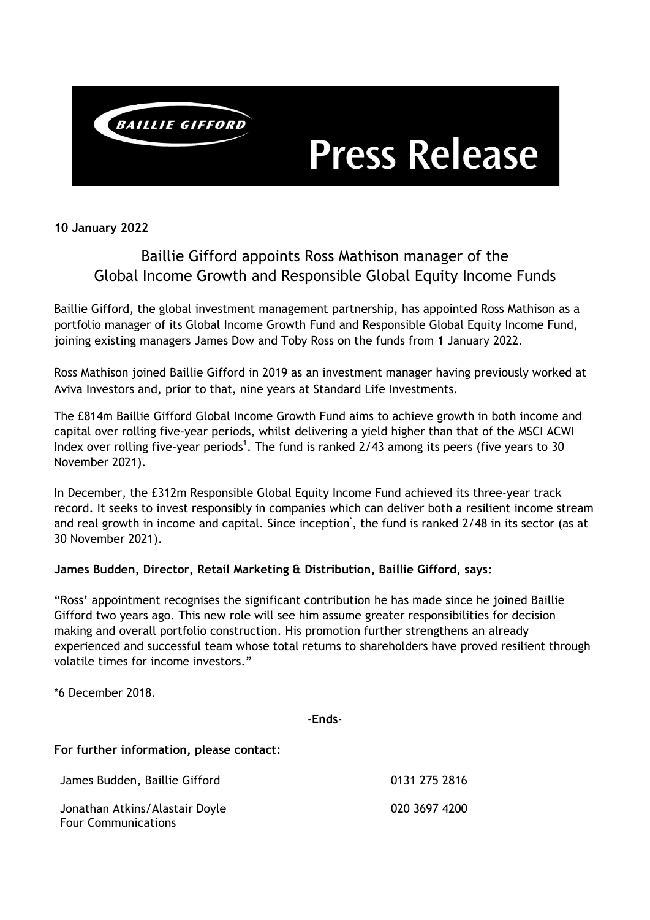

# **Press Release**

**10 January 2022**

# Baillie Gifford appoints Ross Mathison manager of the Global Income Growth and Responsible Global Equity Income Funds

Baillie Gifford, the global investment management partnership, has appointed Ross Mathison as a portfolio manager of its Global Income Growth Fund and Responsible Global Equity Income Fund, joining existing managers James Dow and Toby Ross on the funds from 1 January 2022.

Ross Mathison joined Baillie Gifford in 2019 as an investment manager having previously worked at Aviva Investors and, prior to that, nine years at Standard Life Investments.

The £814m Baillie Gifford Global Income Growth Fund aims to achieve growth in both income and capital over rolling five-year periods, whilst delivering a yield higher than that of the MSCI ACWI Index over rolling five-year periods<sup>1</sup>. The fund is ranked  $2/43$  among its peers (five years to 30 November 2021).

In December, the £312m Responsible Global Equity Income Fund achieved its three-year track record. It seeks to invest responsibly in companies which can deliver both a resilient income stream and real growth in income and capital. Since inception<sup>\*</sup>, the fund is ranked 2/48 in its sector (as at 30 November 2021).

## **James Budden, Director, Retail Marketing & Distribution, Baillie Gifford, says:**

"Ross' appointment recognises the significant contribution he has made since he joined Baillie Gifford two years ago. This new role will see him assume greater responsibilities for decision making and overall portfolio construction. His promotion further strengthens an already experienced and successful team whose total returns to shareholders have proved resilient through volatile times for income investors."

\*6 December 2018.

-**Ends**-

## **For further information, please contact:**

James Budden, Baillie Gifford **120 a. 12 a. 13 a. 13 a. 13 a. 13 a. 13 a. 13 a. 13 a. 13 a. 13 a. 13 a. 13 a. 1** Jonathan Atkins/Alastair Doyle Four Communications 020 3697 4200